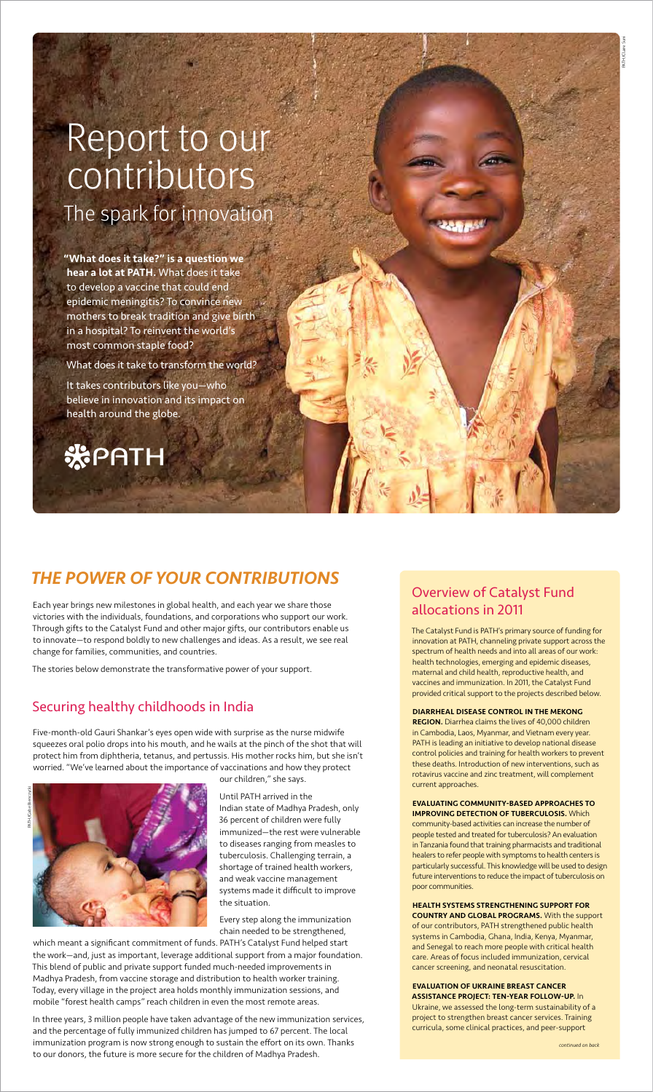# Overview of Catalyst Fund allocations in 2011

The Catalyst Fund is PATH's primary source of funding for innovation at PATH, channeling private support across the spectrum of health needs and into all areas of our work: health technologies, emerging and epidemic diseases, maternal and child health, reproductive health, and vaccines and immunization. In 2011, the Catalyst Fund provided critical support to the projects described below.

REGION. Diarrhea claims the lives of 40,000 children in Cambodia, Laos, Myanmar, and Vietnam every year. PATH is leading an initiative to develop national disease control policies and training for health workers to prevent these deaths. Introduction of new interventions, such as rotavirus vaccine and zinc treatment, will complement current approaches.

Evaluating community-based approaches to TION OF TUREDCULOSIS. Wh

### Diarrheal disease control in the Mekong

community-based activities can increase the number of people tested and treated for tuberculosis? An evaluation in Tanzania found that training pharmacists and traditional healers to refer people with symptoms to health centers is particularly successful. This knowledge will be used to design future interventions to reduce the impact of tuberculosis on poor communities.

### Health systems strengthening support for country and global programs. With the support

of our contributors, PATH strengthened public health systems in Cambodia, Ghana, India, Kenya, Myanmar, and Senegal to reach more people with critical health care. Areas of focus included immunization, cervical cancer screening, and neonatal resuscitation.

### Evaluation of Ukraine breast cancer assistance project: ten-year follow-up. In

Ukraine, we assessed the long-term sustainability of a project to strengthen breast cancer services. Training curricula, some clinical practices, and peer-support

# *The power of your contributions*

Each year brings new milestones in global health, and each year we share those victories with the individuals, foundations, and corporations who support our work. Through gifts to the Catalyst Fund and other major gifts, our contributors enable us to innovate—to respond boldly to new challenges and ideas. As a result, we see real change for families, communities, and countries.

The stories below demonstrate the transformative power of your support.

# Securing healthy childhoods in India

Five-month-old Gauri Shankar's eyes open wide with surprise as the nurse midwife squeezes oral polio drops into his mouth, and he wails at the pinch of the shot that will protect him from diphtheria, tetanus, and pertussis. His mother rocks him, but she isn't worried. "We've learned about the importance of vaccinations and how they protect our children," she says.



Until PATH arrived in the Indian state of Madhya Pradesh, only 36 percent of children were fully immunized—the rest were vulnerable to diseases ranging from measles to tuberculosis. Challenging terrain, a shortage of trained health workers, and weak vaccine management systems made it difficult to improve the situation.

Every step along the immunization chain needed to be strengthened,

which meant a significant commitment of funds. PATH's Catalyst Fund helped start the work—and, just as important, leverage additional support from a major foundation. This blend of public and private support funded much-needed improvements in Madhya Pradesh, from vaccine storage and distribution to health worker training. Today, every village in the project area holds monthly immunization sessions, and mobile "forest health camps" reach children in even the most remote areas.

In three years, 3 million people have taken advantage of the new immunization services, and the percentage of fully immunized children has jumped to 67 percent. The local immunization program is now strong enough to sustain the effort on its own. Thanks to our donors, the future is more secure for the children of Madhya Pradesh.

*continued on back*



"What does it take?" is a question we hear a lot at PATH. What does it take to develop a vaccine that could end epidemic meningitis? To convince new mothers to break tradition and give birth in a hospital? To reinvent the world's most common staple food?

What does it take to transform the world?

It takes contributors like you—who believe in innovation and its impact on health around the globe.



# Report to our contributors The spark for innovation